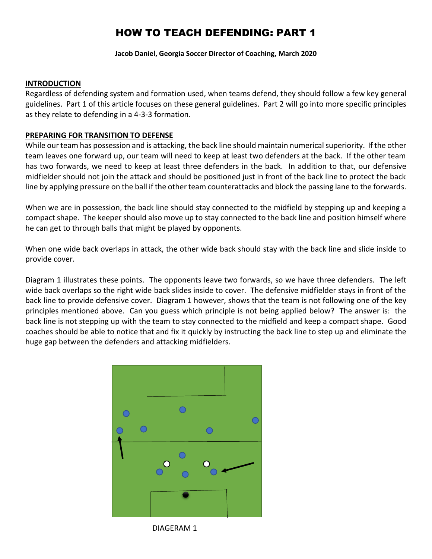# HOW TO TEACH DEFENDING: PART 1

**Jacob Daniel, Georgia Soccer Director of Coaching, March 2020**

## **INTRODUCTION**

Regardless of defending system and formation used, when teams defend, they should follow a few key general guidelines. Part 1 of this article focuses on these general guidelines. Part 2 will go into more specific principles as they relate to defending in a 4-3-3 formation.

# **PREPARING FOR TRANSITION TO DEFENSE**

While our team has possession and is attacking, the back line should maintain numerical superiority. If the other team leaves one forward up, our team will need to keep at least two defenders at the back. If the other team has two forwards, we need to keep at least three defenders in the back. In addition to that, our defensive midfielder should not join the attack and should be positioned just in front of the back line to protect the back line by applying pressure on the ball if the other team counterattacks and block the passing lane to the forwards.

When we are in possession, the back line should stay connected to the midfield by stepping up and keeping a compact shape. The keeper should also move up to stay connected to the back line and position himself where he can get to through balls that might be played by opponents.

When one wide back overlaps in attack, the other wide back should stay with the back line and slide inside to provide cover.

Diagram 1 illustrates these points. The opponents leave two forwards, so we have three defenders. The left wide back overlaps so the right wide back slides inside to cover. The defensive midfielder stays in front of the back line to provide defensive cover. Diagram 1 however, shows that the team is not following one of the key principles mentioned above. Can you guess which principle is not being applied below? The answer is: the back line is not stepping up with the team to stay connected to the midfield and keep a compact shape. Good coaches should be able to notice that and fix it quickly by instructing the back line to step up and eliminate the huge gap between the defenders and attacking midfielders.



DIAGERAM 1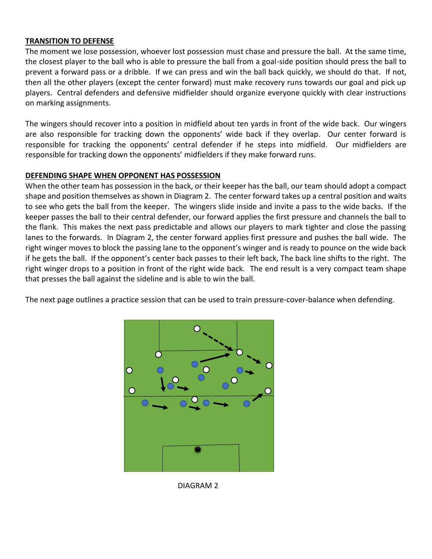## **TRANSITION TO DEFENSE**

The moment we lose possession, whoever lost possession must chase and pressure the ball. At the same time, the closest player to the ball who is able to pressure the ball from a goal-side position should press the ball to prevent a forward pass or a dribble. If we can press and win the ball back quickly, we should do that. If not, then all the other players (except the center forward) must make recovery runs towards our goal and pick up players. Central defenders and defensive midfielder should organize everyone quickly with clear instructions on marking assignments.

The wingers should recover into a position in midfield about ten yards in front of the wide back. Our wingers are also responsible for tracking down the opponents' wide back if they overlap. Our center forward is responsible for tracking the opponents' central defender if he steps into midfield. Our midfielders are responsible for tracking down the opponents' midfielders if they make forward runs.

#### **DEFENDING SHAPE WHEN OPPONENT HAS POSSESSION**

When the other team has possession in the back, or their keeper has the ball, our team should adopt a compact shape and position themselves as shown in Diagram 2. The center forward takes up a central position and waits to see who gets the ball from the keeper. The wingers slide inside and invite a pass to the wide backs. If the keeper passes the ball to their central defender, our forward applies the first pressure and channels the ball to the flank. This makes the next pass predictable and allows our players to mark tighter and close the passing lanes to the forwards. In Diagram 2, the center forward applies first pressure and pushes the ball wide. The right winger moves to block the passing lane to the opponent's winger and is ready to pounce on the wide back if he gets the ball. If the opponent's center back passes to their left back, The back line shifts to the right. The right winger drops to a position in front of the right wide back. The end result is a very compact team shape that presses the ball against the sideline and is able to win the ball.

The next page outlines a practice session that can be used to train pressure-cover-balance when defending.



DIAGRAM 2